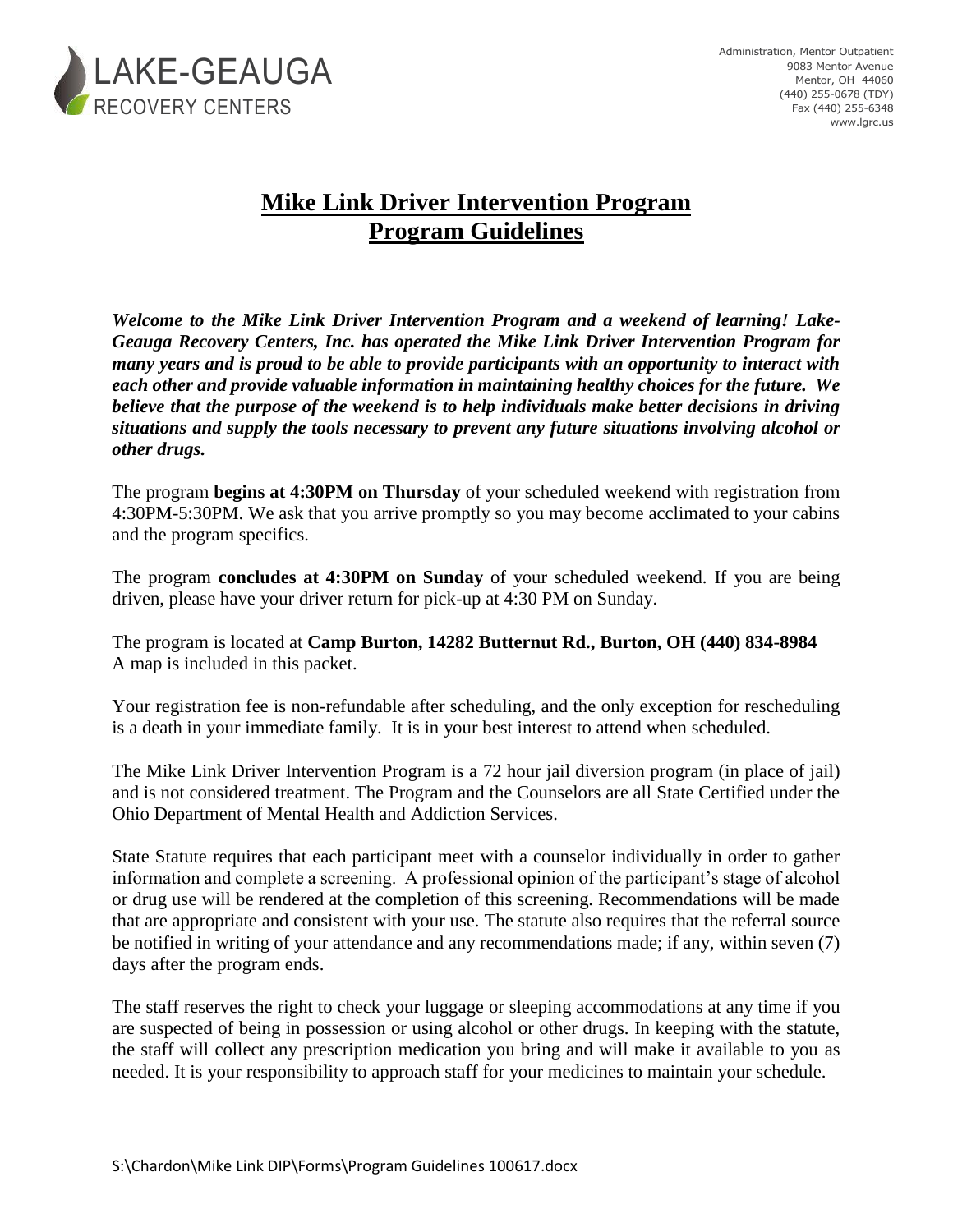

## **Mike Link Driver Intervention Program Program Guidelines**

*Welcome to the Mike Link Driver Intervention Program and a weekend of learning! Lake-Geauga Recovery Centers, Inc. has operated the Mike Link Driver Intervention Program for many years and is proud to be able to provide participants with an opportunity to interact with each other and provide valuable information in maintaining healthy choices for the future. We believe that the purpose of the weekend is to help individuals make better decisions in driving situations and supply the tools necessary to prevent any future situations involving alcohol or other drugs.*

The program **begins at 4:30PM on Thursday** of your scheduled weekend with registration from 4:30PM-5:30PM. We ask that you arrive promptly so you may become acclimated to your cabins and the program specifics.

The program **concludes at 4:30PM on Sunday** of your scheduled weekend. If you are being driven, please have your driver return for pick-up at 4:30 PM on Sunday.

The program is located at **Camp Burton, 14282 Butternut Rd., Burton, OH (440) 834-8984** A map is included in this packet.

Your registration fee is non-refundable after scheduling, and the only exception for rescheduling is a death in your immediate family. It is in your best interest to attend when scheduled.

The Mike Link Driver Intervention Program is a 72 hour jail diversion program (in place of jail) and is not considered treatment. The Program and the Counselors are all State Certified under the Ohio Department of Mental Health and Addiction Services.

State Statute requires that each participant meet with a counselor individually in order to gather information and complete a screening. A professional opinion of the participant's stage of alcohol or drug use will be rendered at the completion of this screening. Recommendations will be made that are appropriate and consistent with your use. The statute also requires that the referral source be notified in writing of your attendance and any recommendations made; if any, within seven (7) days after the program ends.

The staff reserves the right to check your luggage or sleeping accommodations at any time if you are suspected of being in possession or using alcohol or other drugs. In keeping with the statute, the staff will collect any prescription medication you bring and will make it available to you as needed. It is your responsibility to approach staff for your medicines to maintain your schedule.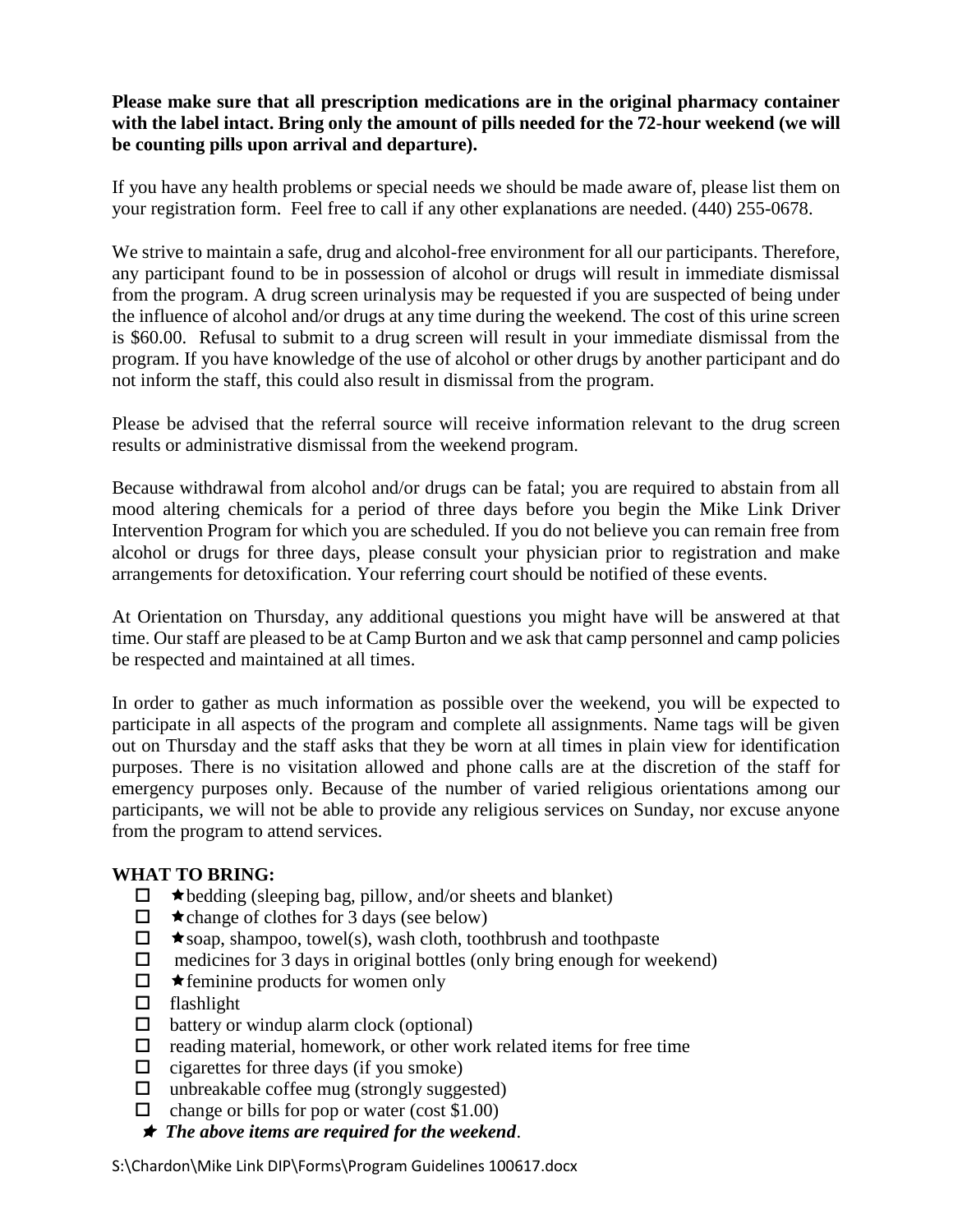## **Please make sure that all prescription medications are in the original pharmacy container with the label intact. Bring only the amount of pills needed for the 72-hour weekend (we will be counting pills upon arrival and departure).**

If you have any health problems or special needs we should be made aware of, please list them on your registration form. Feel free to call if any other explanations are needed. (440) 255-0678.

We strive to maintain a safe, drug and alcohol-free environment for all our participants. Therefore, any participant found to be in possession of alcohol or drugs will result in immediate dismissal from the program. A drug screen urinalysis may be requested if you are suspected of being under the influence of alcohol and/or drugs at any time during the weekend. The cost of this urine screen is \$60.00. Refusal to submit to a drug screen will result in your immediate dismissal from the program. If you have knowledge of the use of alcohol or other drugs by another participant and do not inform the staff, this could also result in dismissal from the program.

Please be advised that the referral source will receive information relevant to the drug screen results or administrative dismissal from the weekend program.

Because withdrawal from alcohol and/or drugs can be fatal; you are required to abstain from all mood altering chemicals for a period of three days before you begin the Mike Link Driver Intervention Program for which you are scheduled. If you do not believe you can remain free from alcohol or drugs for three days, please consult your physician prior to registration and make arrangements for detoxification. Your referring court should be notified of these events.

At Orientation on Thursday, any additional questions you might have will be answered at that time. Our staff are pleased to be at Camp Burton and we ask that camp personnel and camp policies be respected and maintained at all times.

In order to gather as much information as possible over the weekend, you will be expected to participate in all aspects of the program and complete all assignments. Name tags will be given out on Thursday and the staff asks that they be worn at all times in plain view for identification purposes. There is no visitation allowed and phone calls are at the discretion of the staff for emergency purposes only. Because of the number of varied religious orientations among our participants, we will not be able to provide any religious services on Sunday, nor excuse anyone from the program to attend services.

## **WHAT TO BRING:**

- $\Box$   $\star$  bedding (sleeping bag, pillow, and/or sheets and blanket)
- $\Box$   $\star$  change of clothes for 3 days (see below)
- $\Box$   $\star$  soap, shampoo, towel(s), wash cloth, toothbrush and toothpaste
- $\Box$  medicines for 3 days in original bottles (only bring enough for weekend)
- $\Box$  **\*** feminine products for women only
- $\Box$  flashlight
- $\Box$  battery or windup alarm clock (optional)
- $\Box$  reading material, homework, or other work related items for free time
- $\Box$  cigarettes for three days (if you smoke)
- $\Box$  unbreakable coffee mug (strongly suggested)
- $\Box$  change or bills for pop or water (cost \$1.00)
- *The above items are required for the weekend*.

S:\Chardon\Mike Link DIP\Forms\Program Guidelines 100617.docx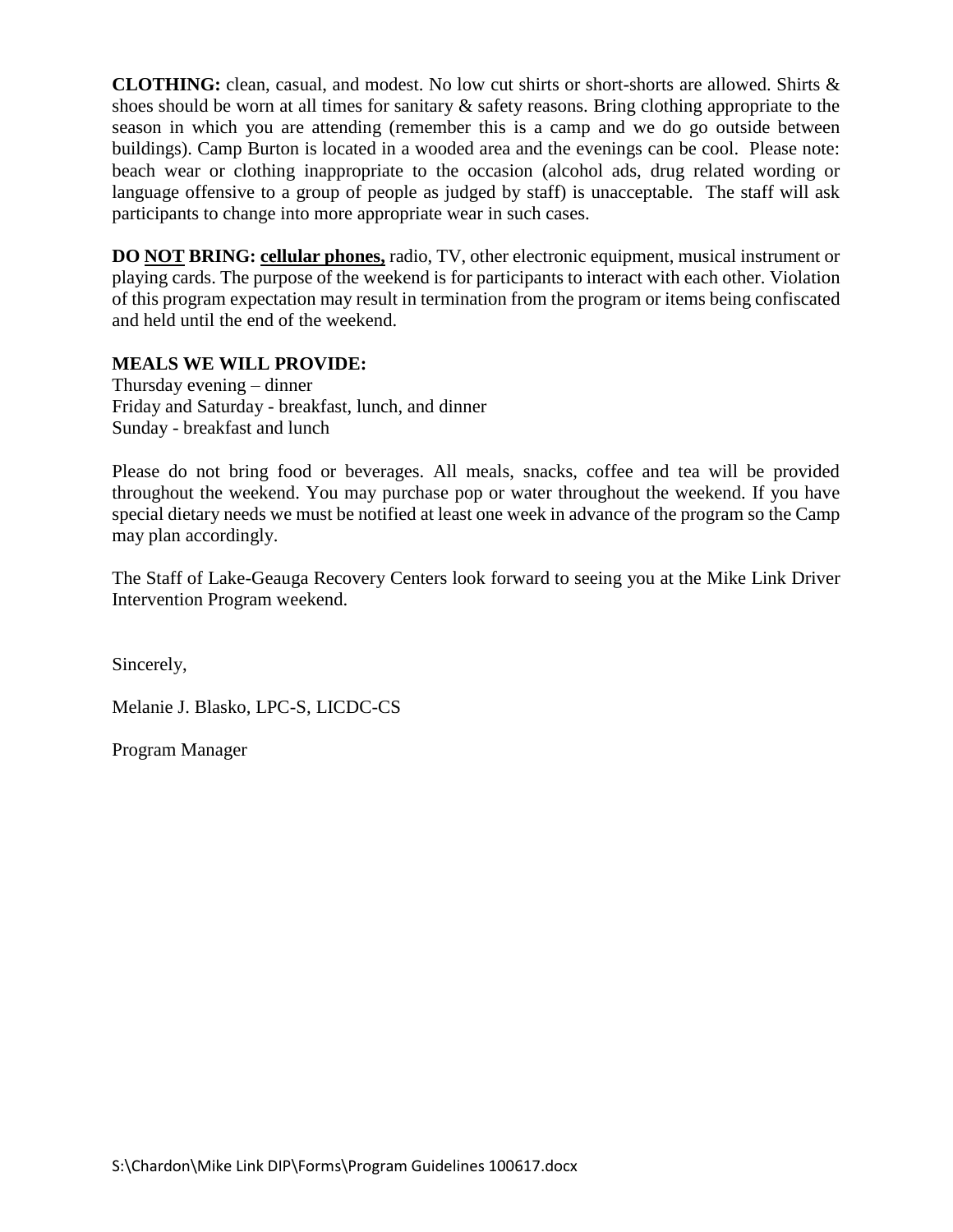**CLOTHING:** clean, casual, and modest. No low cut shirts or short-shorts are allowed. Shirts & shoes should be worn at all times for sanitary  $\&$  safety reasons. Bring clothing appropriate to the season in which you are attending (remember this is a camp and we do go outside between buildings). Camp Burton is located in a wooded area and the evenings can be cool. Please note: beach wear or clothing inappropriate to the occasion (alcohol ads, drug related wording or language offensive to a group of people as judged by staff) is unacceptable. The staff will ask participants to change into more appropriate wear in such cases.

**DO NOT BRING: cellular phones,** radio, TV, other electronic equipment, musical instrument or playing cards. The purpose of the weekend is for participants to interact with each other. Violation of this program expectation may result in termination from the program or items being confiscated and held until the end of the weekend.

## **MEALS WE WILL PROVIDE:**

Thursday evening – dinner Friday and Saturday - breakfast, lunch, and dinner Sunday - breakfast and lunch

Please do not bring food or beverages. All meals, snacks, coffee and tea will be provided throughout the weekend. You may purchase pop or water throughout the weekend. If you have special dietary needs we must be notified at least one week in advance of the program so the Camp may plan accordingly.

The Staff of Lake-Geauga Recovery Centers look forward to seeing you at the Mike Link Driver Intervention Program weekend.

Sincerely,

Melanie J. Blasko, LPC-S, LICDC-CS

Program Manager